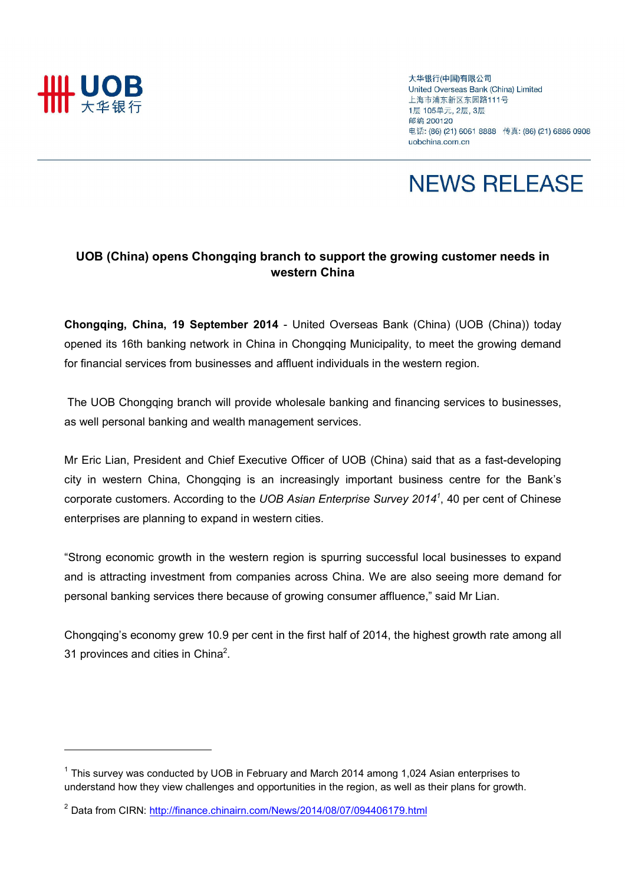

 $\overline{a}$ 

大华银行(中国)有限公司 United Overseas Bank (China) Limited 上海市浦东新区东园路111号 1层 105单元, 2层, 3层 邮编 200120 电话: (86) (21) 6061 8888 传真: (86) (21) 6886 0908 uobchina.com.cn

## **NEWS RELEASE**

## UOB (China) opens Chongqing branch to support the growing customer needs in western China

Chongqing, China, 19 September 2014 - United Overseas Bank (China) (UOB (China)) today opened its 16th banking network in China in Chongqing Municipality, to meet the growing demand for financial services from businesses and affluent individuals in the western region.

 The UOB Chongqing branch will provide wholesale banking and financing services to businesses, as well personal banking and wealth management services.

Mr Eric Lian, President and Chief Executive Officer of UOB (China) said that as a fast-developing city in western China, Chongqing is an increasingly important business centre for the Bank's corporate customers. According to the UOB Asian Enterprise Survey 2014<sup>1</sup>, 40 per cent of Chinese enterprises are planning to expand in western cities.

"Strong economic growth in the western region is spurring successful local businesses to expand and is attracting investment from companies across China. We are also seeing more demand for personal banking services there because of growing consumer affluence," said Mr Lian.

Chongqing's economy grew 10.9 per cent in the first half of 2014, the highest growth rate among all 31 provinces and cities in China<sup>2</sup>.

 $1$  This survey was conducted by UOB in February and March 2014 among 1,024 Asian enterprises to understand how they view challenges and opportunities in the region, as well as their plans for growth.

<sup>&</sup>lt;sup>2</sup> Data from CIRN: http://finance.chinairn.com/News/2014/08/07/094406179.html